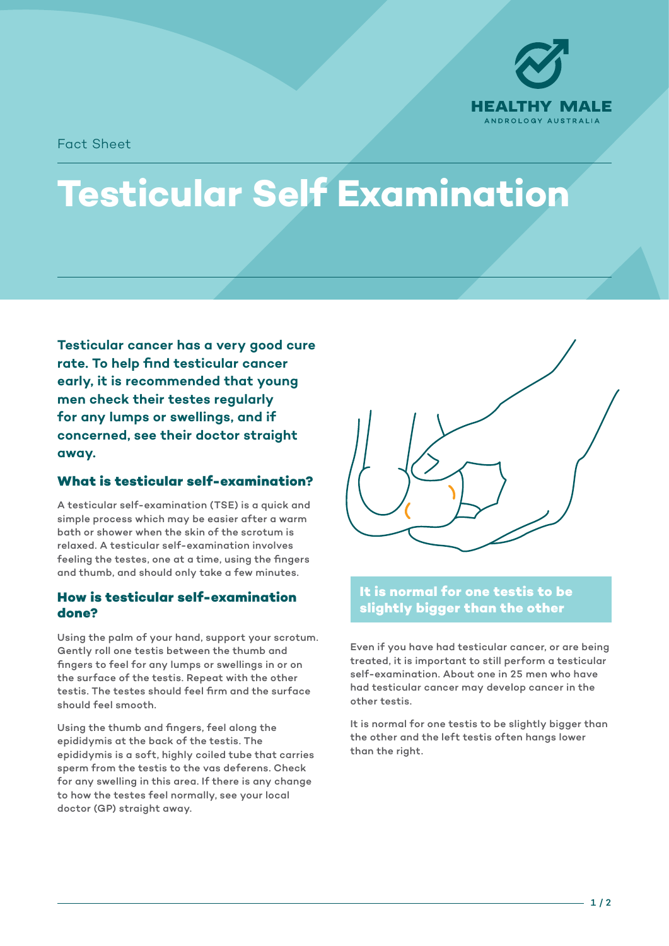

Fact Sheet

# **Testicular Self Examination**

**Testicular cancer has a very good cure rate. To help find testicular cancer early, it is recommended that young men check their testes regularly for any lumps or swellings, and if concerned, see their doctor straight away.**

## **What is testicular self-examination?**

A testicular self-examination (TSE) is a quick and simple process which may be easier after a warm bath or shower when the skin of the scrotum is relaxed. A testicular self-examination involves feeling the testes, one at a time, using the fingers and thumb, and should only take a few minutes.

#### **How is testicular self-examination done?**

Using the palm of your hand, support your scrotum. Gently roll one testis between the thumb and fingers to feel for any lumps or swellings in or on the surface of the testis. Repeat with the other testis. The testes should feel firm and the surface should feel smooth.

Using the thumb and fingers, feel along the epididymis at the back of the testis. The epididymis is a soft, highly coiled tube that carries sperm from the testis to the vas deferens. Check for any swelling in this area. If there is any change to how the testes feel normally, see your local doctor (GP) straight away.



### **It is normal for one testis to be slightly bigger than the other**

Even if you have had testicular cancer, or are being treated, it is important to still perform a testicular self-examination. About one in 25 men who have had testicular cancer may develop cancer in the other testis.

It is normal for one testis to be slightly bigger than the other and the left testis often hangs lower than the right.